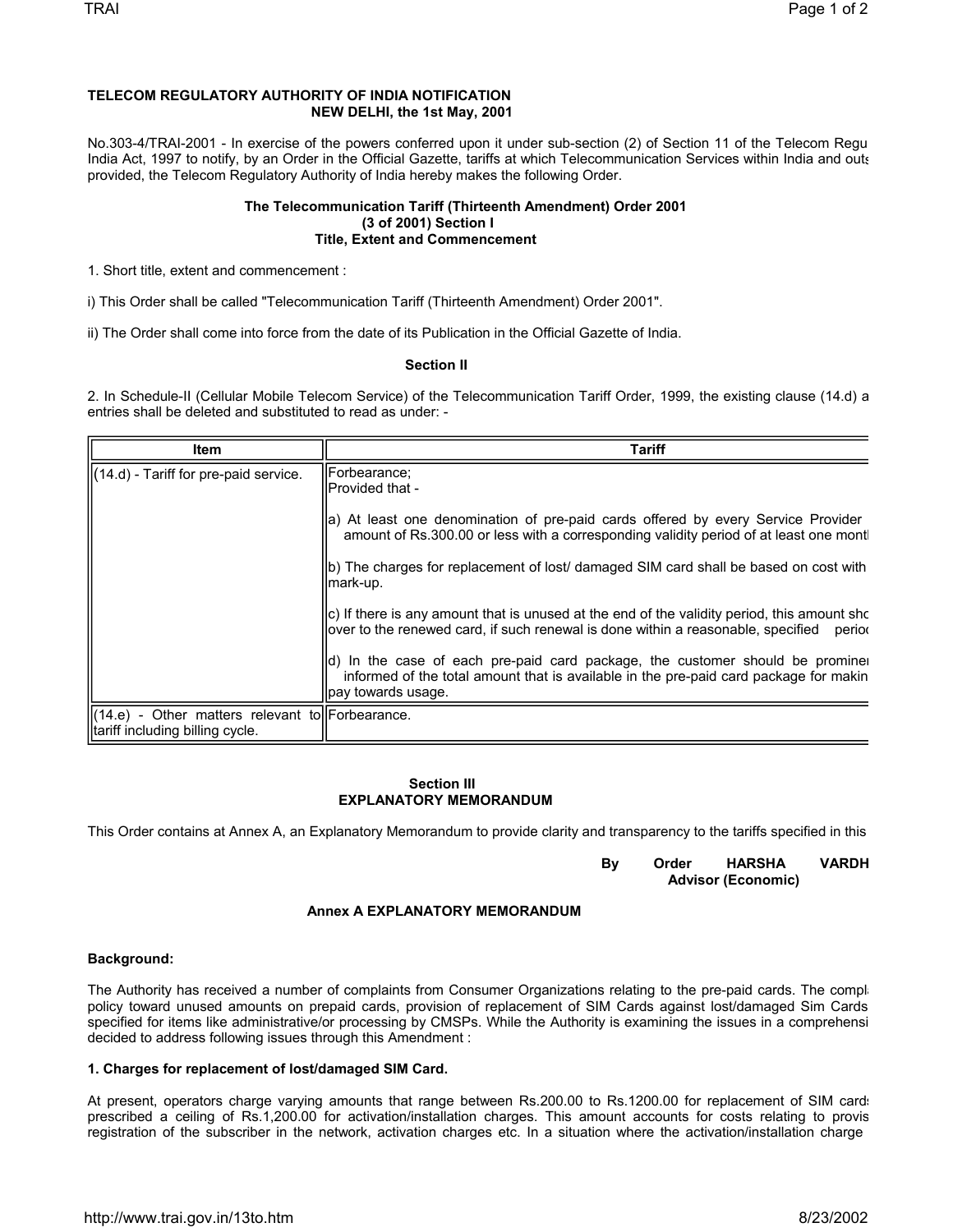# **TELECOM REGULATORY AUTHORITY OF INDIA NOTIFICATION NEW DELHI, the 1st May, 2001**

No.303-4/TRAI-2001 - In exercise of the powers conferred upon it under sub-section (2) of Section 11 of the Telecom Regu India Act, 1997 to notify, by an Order in the Official Gazette, tariffs at which Telecommunication Services within India and outs provided, the Telecom Regulatory Authority of India hereby makes the following Order.

### **The Telecommunication Tariff (Thirteenth Amendment) Order 2001 (3 of 2001) Section I Title, Extent and Commencement**

1. Short title, extent and commencement :

i) This Order shall be called "Telecommunication Tariff (Thirteenth Amendment) Order 2001".

ii) The Order shall come into force from the date of its Publication in the Official Gazette of India.

### **Section II**

2. In Schedule-II (Cellular Mobile Telecom Service) of the Telecommunication Tariff Order, 1999, the existing clause (14.d) a entries shall be deleted and substituted to read as under: -

| Item                                                                                      | <b>Tariff</b>                                                                                                                                                                                      |
|-------------------------------------------------------------------------------------------|----------------------------------------------------------------------------------------------------------------------------------------------------------------------------------------------------|
| $\left  \right $ (14.d) - Tariff for pre-paid service.                                    | Forbearance;<br>IProvided that -                                                                                                                                                                   |
|                                                                                           | a) At least one denomination of pre-paid cards offered by every Service Provider<br>amount of Rs.300.00 or less with a corresponding validity period of at least one mont                          |
|                                                                                           | (b) The charges for replacement of lost/ damaged SIM card shall be based on cost with<br>mark-up.                                                                                                  |
|                                                                                           | $\vert$ c) If there is any amount that is unused at the end of the validity period, this amount sho<br>lover to the renewed card, if such renewal is done within a reasonable, specified<br>period |
|                                                                                           | d) In the case of each pre-paid card package, the customer should be prominel<br>informed of the total amount that is available in the pre-paid card package for makin<br>lpay towards usage.      |
| $\ $ (14.e) - Other matters relevant to Forbearance.<br>Iltariff including billing cycle. |                                                                                                                                                                                                    |

#### **Section III EXPLANATORY MEMORANDUM**

This Order contains at Annex A, an Explanatory Memorandum to provide clarity and transparency to the tariffs specified in this

 **By Order HARSHA VARDH Advisor (Economic)**

## **Annex A EXPLANATORY MEMORANDUM**

### **Background:**

The Authority has received a number of complaints from Consumer Organizations relating to the pre-paid cards. The complipolicy toward unused amounts on prepaid cards, provision of replacement of SIM Cards against lost/damaged Sim Cards specified for items like administrative/or processing by CMSPs. While the Authority is examining the issues in a comprehensi decided to address following issues through this Amendment :

#### **1. Charges for replacement of lost/damaged SIM Card.**

At present, operators charge varying amounts that range between Rs.200.00 to Rs.1200.00 for replacement of SIM cards prescribed a ceiling of Rs.1,200.00 for activation/installation charges. This amount accounts for costs relating to provis registration of the subscriber in the network, activation charges etc. In a situation where the activation/installation charge